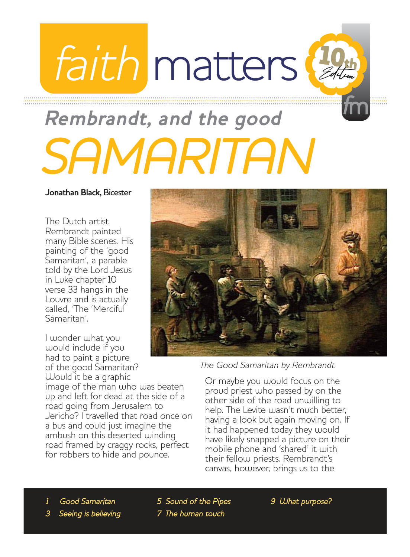## faith matters Edition 10th

## **important spiritual matters for you** SAMARITAN **Rembrandt, and the good**

**Jonathan Black,** Bicester

The Dutch artist Rembrandt painted many Bible scenes. His painting of the 'good Samaritan', a parable told by the Lord Jesus in Luke chapter 10 verse 33 hangs in the Louvre and is actually called, 'The 'Merciful Samaritan'.

I wonder what you would include if you had to paint a picture of the good Samaritan? Would it be a graphic

image of the man who was beaten up and left for dead at the side of a road going from Jerusalem to Jericho? I travelled that road once on a bus and could just imagine the ambush on this deserted winding road framed by craggy rocks, perfect for robbers to hide and pounce.



<sup>f</sup>m

The Good Samaritan by Rembrandt

Or maybe you would focus on the proud priest who passed by on the other side of the road unwilling to help. The Levite wasn't much better, having a look but again moving on. If it had happened today they would have likely snapped a picture on their mobile phone and 'shared' it with their fellow priests. Rembrandt's canvas, however, brings us to the

5 Sound of the Pipes 7 The human touch

9 What purpose?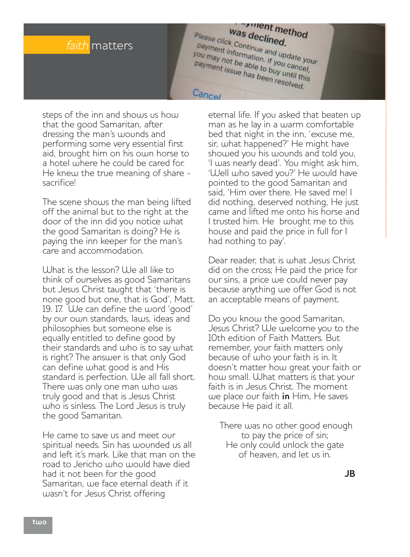

as declined was declined. **Was declined.**<br>
Please click Continue and update your<br>
you may not information. If you date your<br>
payment is to able to it you cancel payment information. If you cancel<br>payment information. If you cancel,<br>payment issue has to buy until this<br>payment issue has to buy until this Fournait information. If you cancel<br>you may not be able to buy until this<br>payment issue has been resolved payment issue has been resolved.

Cancel

steps of the inn and shows us how that the good Samaritan, after dressing the man's wounds and performing some very essential first aid, brought him on his own horse to a hotel where he could be cared for. He knew the true meaning of share sacrifice!

The scene shows the man being lifted off the animal but to the right at the door of the inn did you notice what the good Samaritan is doing? He is paying the inn keeper for the man's care and accommodation.

What is the lesson? We all like to think of ourselves as good Samaritans but Jesus Christ taught that 'there is none good but one, that is God', Matt. 19. 17. We can define the word 'good' by our own standards, laws, ideas and philosophies but someone else is equally entitled to define good by their standards and who is to say what is right? The answer is that only God can define what good is and His standard is perfection. We all fall short. There was only one man who was truly good and that is Jesus Christ who is sinless. The Lord Jesus is truly the good Samaritan.

He came to save us and meet our spiritual needs. Sin has wounded us all and left it's mark. Like that man on the road to Jericho who would have died had it not been for the good Samaritan, we face eternal death if it wasn't for Jesus Christ offering

eternal life. If you asked that beaten up man as he lay in a warm comfortable bed that night in the inn, 'excuse me, sir, what happened?' He might have showed you his wounds and told you, 'I was nearly dead'. You might ask him, 'Well who saved you?' He would have pointed to the good Samaritan and said, 'Him over there. He saved me! I did nothing, deserved nothing, He just came and lifted me onto his horse and I trusted him. He brought me to this house and paid the price in full for I had nothing to pay'.

Dear reader, that is what Jesus Christ did on the cross; He paid the price for our sins, a price we could never pay because anything we offer God is not an acceptable means of payment.

Do you know the good Samaritan, Jesus Christ? We welcome you to the 10th edition of Faith Matters. But remember, your faith matters only because of who your faith is in. It doesn't matter how great your faith or how small. What matters is that your faith is in Jesus Christ. The moment we place our faith **in** Him, He saves because He paid it all.

There was no other good enough to pay the price of sin; He only could unlock the gate of heaven, and let us in.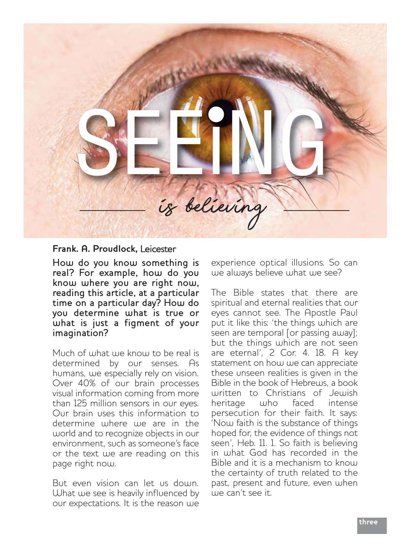

#### **Frank. A. Proudlock,** Leicester

How do you know something is real? For example, how do you know where you are right now, reading this article, at a particular time on a particular day? How do you determine what is true or what is just a figment of your imagination?

Much of what we know to be real is determined by our senses. As humans, we especially rely on vision. Over 40% of our brain processes visual information coming from more than 125 million sensors in our eyes. Our brain uses this information to determine where we are in the world and to recognize objects in our environment, such as someone's face or the text we are reading on this page right now.

But even vision can let us down. What we see is heavily influenced by our expectations. It is the reason we

experience optical illusions. So can we always believe what we see?

The Bible states that there are spiritual and eternal realities that our eyes cannot see. The Apostle Paul put it like this: 'the things which are seen are temporal [or passing away]; but the things which are not seen are eternal', 2 Cor. 4. 18. A key statement on how we can appreciate these unseen realities is given in the Bible in the book of Hebrews, a book written to Christians of Jewish heritage who faced intense persecution for their faith. It says: 'Now faith is the substance of things hoped for, the evidence of things not seen', Heb. 11. 1. So faith is believing in what God has recorded in the Bible and it is a mechanism to know the certainty of truth related to the past, present and future, even when we can't see it.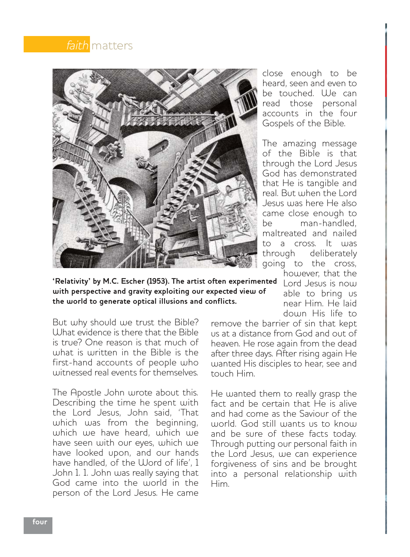



**'Relativity' by M.C. Escher (1953). The artist often experimented** <code> Lord Jesus</code> is <code> now</code> **with perspective and gravity exploiting our expected view of the world to generate optical illusions and conflicts.** 

But why should we trust the Bible? What evidence is there that the Bible is true? One reason is that much of what is written in the Bible is the first-hand accounts of people who witnessed real events for themselves

The Apostle John wrote about this. Describing the time he spent with the Lord Jesus, John said, 'That which was from the beginning, which we have heard, which we have seen with our eyes, which we have looked upon, and our hands have handled, of the Word of life', 1 John 1. 1. John was really saying that God came into the world in the person of the Lord Jesus. He came close enough to be heard, seen and even to be touched. We can read those personal accounts in the four Gospels of the Bible.

The amazing message of the Bible is that through the Lord Jesus God has demonstrated that He is tangible and real. But when the Lord Jesus was here He also came close enough to be man-handled, maltreated and nailed to a cross. It was<br>through deliberately deliberately going to the cross, however, that the

> able to bring us near Him. He laid down His life to

remove the barrier of sin that kept us at a distance from God and out of heaven. He rose again from the dead after three days. After rising again He wanted His disciples to hear, see and touch Him.

He wanted them to really grasp the fact and be certain that He is alive and had come as the Saviour of the world. God still wants us to know and be sure of these facts today. Through putting our personal faith in the Lord Jesus, we can experience forgiveness of sins and be brought into a personal relationship with Him.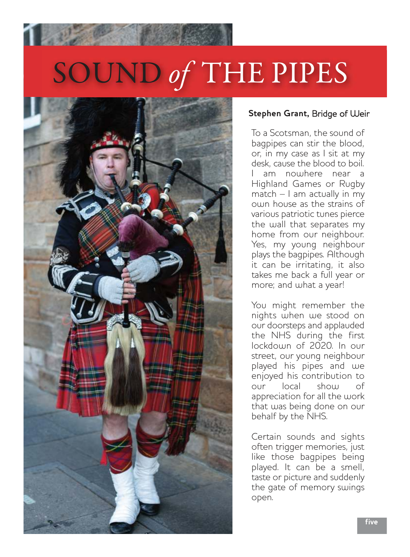# SOUND of THE PIPES



#### **Stephen Grant,** Bridge of Weir

To a Scotsman, the sound of bagpipes can stir the blood, or, in my case as I sit at my desk, cause the blood to boil. am nouthere near a Highland Games or Rugby match – I am actually in my own house as the strains of various patriotic tunes pierce the wall that separates my home from our neighbour. Yes, my young neighbour plays the bagpipes. Although it can be irritating, it also takes me back a full year or more; and what a year!

You might remember the nights when we stood on our doorsteps and applauded the NHS during the first lockdown of 2020. In our street, our young neighbour played his pipes and we enjoyed his contribution to<br>our local show of our local show of appreciation for all the work that was being done on our behalf by the NHS.

Certain sounds and sights often trigger memories, just like those bagpipes being played. It can be a smell, taste or picture and suddenly the gate of memory swings open.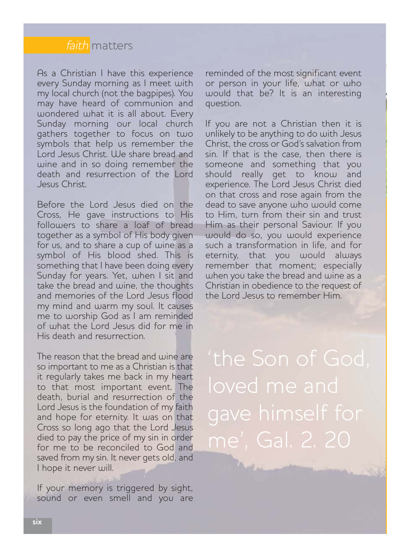

As a Christian I have this experience every Sunday morning as I meet with my local church (not the bagpipes). You may have heard of communion and wondered what it is all about. Every Sunday morning our local church gathers together to focus on two symbols that help us remember the Lord Jesus Christ. We share bread and wine and in so doing remember the death and resurrection of the Lord Jesus Christ.

Before the Lord Jesus died on the Cross, He gave instructions to His followers to share a loaf of bread together as a symbol of His body given for us, and to share a cup of wine as a symbol of His blood shed. This is something that I have been doing every Sunday for years. Yet, when I sit and take the bread and wine, the thoughts and memories of the Lord Jesus flood my mind and warm my soul. It causes me to worship God as I am reminded of what the Lord Jesus did for me in His death and resurrection.

The reason that the bread and wine are so important to me as a Christian is that it regularly takes me back in my heart to that most important event. The death, burial and resurrection of the Lord Jesus is the foundation of my faith and hope for eternity. It was on that Cross so long ago that the Lord Jesus died to pay the price of my sin in order for me to be reconciled to God and saved from my sin. It never gets old, and I hope it never will.

If your memory is triggered by sight, sound or even smell and you are reminded of the most significant event or person in your life, what or who would that be? It is an interesting question.

If you are not a Christian then it is unlikely to be anything to do with Jesus Christ, the cross or God's salvation from sin. If that is the case, then there is someone and something that you should really get to know and experience. The Lord Jesus Christ died on that cross and rose again from the dead to save anyone who would come to Him, turn from their sin and trust Him as their personal Saviour. If you would do so, you would experience such a transformation in life, and for eternity, that you would always remember that moment; especially when you take the bread and wine as a Christian in obedience to the request of the Lord Jesus to remember Him.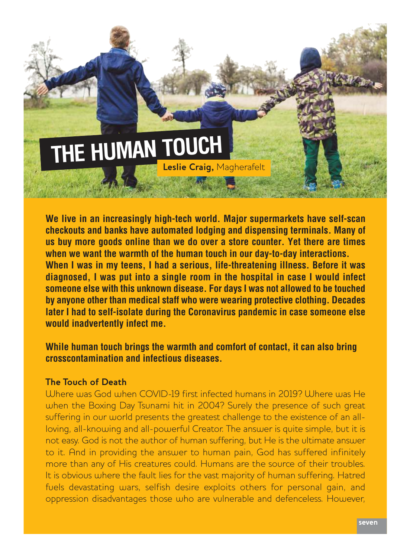## **THE HUMAN TOUCH Leslie Craig,** Magherafelt

**We live in an increasingly high-tech world. Major supermarkets have self-scan checkouts and banks have automated lodging and dispensing terminals. Many of us buy more goods online than we do over a store counter. Yet there are times when we want the warmth of the human touch in our day-to-day interactions. When I was in my teens, I had a serious, life-threatening illness. Before it was diagnosed, I was put into a single room in the hospital in case I would infect someone else with this unknown disease. For days I was not allowed to be touched by anyone other than medical staff who were wearing protective clothing. Decades later I had to self-isolate during the Coronavirus pandemic in case someone else**

**would inadvertently infect me.**

#### **While human touch brings the warmth and comfort of contact, it can also bring crosscontamination and infectious diseases.**

#### **The Touch of Death**

Where was God when COVID-19 first infected humans in 2019? Where was He when the Boxing Day Tsunami hit in 2004? Surely the presence of such great suffering in our world presents the greatest challenge to the existence of an allloving, all-knowing and all-powerful Creator. The answer is quite simple, but it is not easy. God is not the author of human suffering, but He is the ultimate answer to it. And in providing the answer to human pain, God has suffered infinitely more than any of His creatures could. Humans are the source of their troubles. It is obvious where the fault lies for the vast majority of human suffering. Hatred fuels devastating wars, selfish desire exploits others for personal gain, and oppression disadvantages those who are vulnerable and defenceless. However,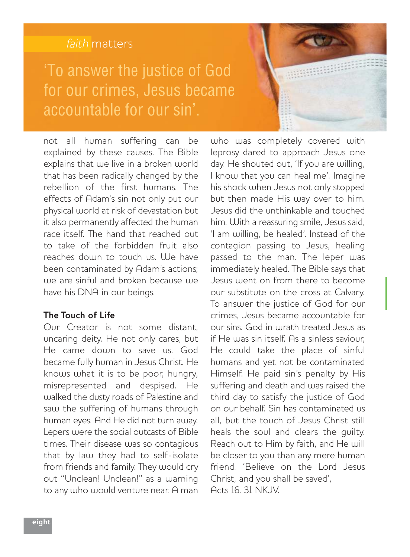#### faith matters

## 'To answer the justice of God for our crimes, Jesus became accountable for our sin'.

not all human suffering can be explained by these causes. The Bible explains that we live in a broken world that has been radically changed by the rebellion of the first humans. The effects of Adam's sin not only put our physical world at risk of devastation but it also permanently affected the human race itself. The hand that reached out to take of the forbidden fruit also reaches down to touch us. We have been contaminated by Adam's actions; we are sinful and broken because we have his DNA in our beings.

#### **The Touch of Life**

Our Creator is not some distant, uncaring deity. He not only cares, but He came down to save us. God became fully human in Jesus Christ. He knows what it is to be poor, hungry, misrepresented and despised. He walked the dusty roads of Palestine and saw the suffering of humans through human eyes. And He did not turn away. Lepers were the social outcasts of Bible times. Their disease was so contagious that by law they had to self-isolate from friends and family. They would cry out "Unclean! Unclean!" as a warning to any who would venture near. A man who was completely covered with leprosy dared to approach Jesus one day. He shouted out, 'If you are willing, I know that you can heal me'. Imagine his shock when Jesus not only stopped but then made His way over to him. Jesus did the unthinkable and touched him. With a reassuring smile, Jesus said, 'I am willing, be healed'. Instead of the contagion passing to Jesus, healing passed to the man. The leper was immediately healed. The Bible says that Jesus went on from there to become our substitute on the cross at Calvary. To answer the justice of God for our crimes, Jesus became accountable for our sins. God in wrath treated Jesus as if He was sin itself. As a sinless saviour, He could take the place of sinful humans and yet not be contaminated Himself. He paid sin's penalty by His suffering and death and was raised the third day to satisfy the justice of God on our behalf. Sin has contaminated us all, but the touch of Jesus Christ still heals the soul and clears the guilty. Reach out to Him by faith, and He will be closer to you than any mere human friend. 'Believe on the Lord Jesus Christ, and you shall be saved', Acts 16. 31 NKJV.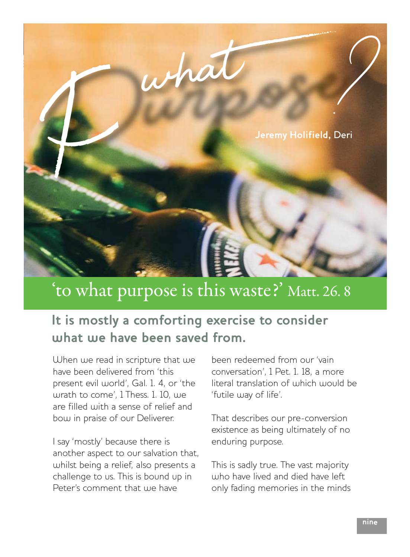

## 'to what purpose is this waste?' Matt. 26. 8

### **It is mostly a comforting exercise to consider what we have been saved from.**

When we read in scripture that we have been delivered from 'this present evil world', Gal. 1. 4, or 'the wrath to come', 1 Thess. 1. 10, we are filled with a sense of relief and bow in praise of our Deliverer.

I say 'mostly' because there is another aspect to our salvation that, whilst being a relief, also presents a challenge to us. This is bound up in Peter's comment that we have

been redeemed from our 'vain conversation', 1 Pet. 1. 18, a more literal translation of which would be 'futile way of life'.

That describes our pre-conversion existence as being ultimately of no enduring purpose.

This is sadly true. The vast majority who have lived and died have left only fading memories in the minds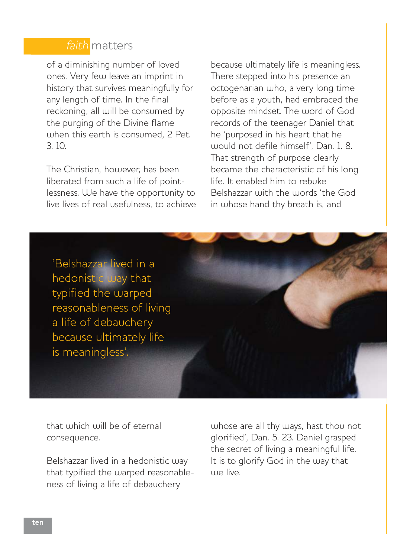

of a diminishing number of loved ones. Very few leave an imprint in history that survives meaningfully for any length of time. In the final reckoning, all will be consumed by the purging of the Divine flame when this earth is consumed, 2 Pet. 3. 10.

The Christian, however, has been liberated from such a life of pointlessness. We have the opportunity to live lives of real usefulness, to achieve because ultimately life is meaningless. There stepped into his presence an octogenarian who, a very long time before as a youth, had embraced the opposite mindset. The word of God records of the teenager Daniel that he 'purposed in his heart that he would not defile himself', Dan. 1. 8. That strength of purpose clearly became the characteristic of his long life. It enabled him to rebuke Belshazzar with the words 'the God in whose hand thy breath is, and

'Belshazzar lived in a hedonistic way that typified the warped reasonableness of living a life of debauchery because ultimately life is meaningless'.

that which will be of eternal consequence.

Belshazzar lived in a hedonistic way that typified the warped reasonableness of living a life of debauchery

whose are all thy ways, hast thou not glorified', Dan. 5. 23. Daniel grasped the secret of living a meaningful life. It is to glorify God in the way that we live.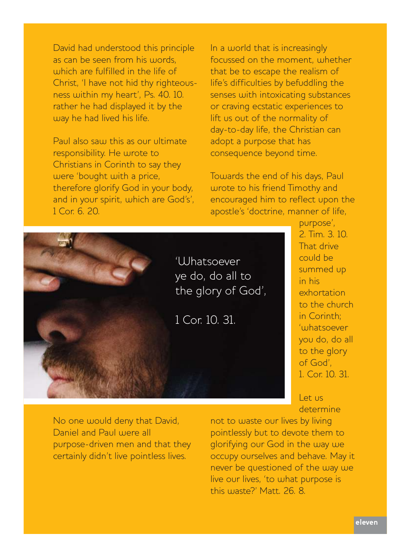David had understood this principle as can be seen from his words, which are fulfilled in the life of Christ, 'I have not hid thy righteousness within my heart', Ps. 40. 10. rather he had displayed it by the way he had lived his life.

Paul also saw this as our ultimate responsibility. He wrote to Christians in Corinth to say they were 'bought with a price, therefore glorify God in your body, and in your spirit, which are God's', 1 Cor. 6. 20.

In a world that is increasingly focussed on the moment, whether that be to escape the realism of life's difficulties by befuddling the senses with intoxicating substances or craving ecstatic experiences to lift us out of the normality of day-to-day life, the Christian can adopt a purpose that has consequence beyond time.

Towards the end of his days, Paul wrote to his friend Timothy and encouraged him to reflect upon the apostle's 'doctrine, manner of life,



purpose', 2. Tim. 3. 10. That drive could be summed up in his exhortation to the church in Corinth; 'whatsoever you do, do all to the glory of God', 1. Cor. 10. 31.

Let us determine

No one would deny that David, Daniel and Paul were all purpose-driven men and that they certainly didn't live pointless lives.

not to waste our lives by living pointlessly but to devote them to glorifying our God in the way we occupy ourselves and behave. May it never be questioned of the way we live our lives, 'to what purpose is this waste?' Matt. 26. 8.